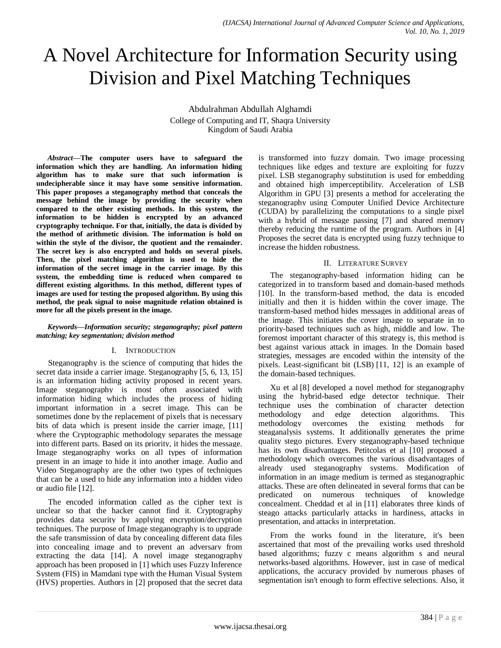# A Novel Architecture for Information Security using Division and Pixel Matching Techniques

Abdulrahman Abdullah Alghamdi College of Computing and IT, Shaqra University Kingdom of Saudi Arabia

*Abstract***—The computer users have to safeguard the information which they are handling. An information hiding algorithm has to make sure that such information is undecipherable since it may have some sensitive information. This paper proposes a steganography method that conceals the message behind the image by providing the security when compared to the other existing methods. In this system, the information to be hidden is encrypted by an advanced cryptography technique. For that, initially, the data is divided by the method of arithmetic division. The information is hold on within the style of the divisor, the quotient and the remainder. The secret key is also encrypted and holds on several pixels. Then, the pixel matching algorithm is used to hide the information of the secret image in the carrier image. By this system, the embedding time is reduced when compared to different existing algorithms. In this method, different types of images are used for testing the proposed algorithm. By using this method, the peak signal to noise magnitude relation obtained is more for all the pixels present in the image.**

#### *Keywords—Information security; steganography; pixel pattern matching; key segmentation; division method*

## I. INTRODUCTION

Steganography is the science of computing that hides the secret data inside a carrier image. Steganography [5, 6, 13, 15] is an information hiding activity proposed in recent years. Image steganography is most often associated with information hiding which includes the process of hiding important information in a secret image. This can be sometimes done by the replacement of pixels that is necessary bits of data which is present inside the carrier image, [11] where the Cryptographic methodology separates the message into different parts. Based on its priority, it hides the message. Image steganography works on all types of information present in an image to hide it into another image. Audio and Video Steganography are the other two types of techniques that can be a used to hide any information into a hidden video or audio file [12].

The encoded information called as the cipher text is unclear so that the hacker cannot find it. Cryptography provides data security by applying encryption/decryption techniques. The purpose of Image steganography is to upgrade the safe transmission of data by concealing different data files into concealing image and to prevent an adversary from extracting the data [14]. A novel image steganography approach has been proposed in [1] which uses Fuzzy Inference System (FIS) in Mamdani type with the Human Visual System (HVS) properties. Authors in [2] proposed that the secret data is transformed into fuzzy domain. Two image processing techniques like edges and texture are exploiting for fuzzy pixel. LSB steganography substitution is used for embedding and obtained high imperceptibility. Acceleration of LSB Algorithm in GPU [3] presents a method for accelerating the steganography using Computer Unified Device Architecture (CUDA) by parallelizing the computations to a single pixel with a hybrid of message passing [7] and shared memory thereby reducing the runtime of the program. Authors in [4] Proposes the secret data is encrypted using fuzzy technique to increase the hidden robustness.

#### II. LITERATURE SURVEY

The steganography-based information hiding can be categorized in to transform based and domain-based methods [10]. In the transform-based method, the data is encoded initially and then it is hidden within the cover image. The transform-based method hides messages in additional areas of the image. This initiates the cover image to separate in to priority-based techniques such as high, middle and low. The foremost important character of this strategy is, this method is best against various attack in images. In the Domain based strategies, messages are encoded within the intensity of the pixels. Least-significant bit (LSB) [11, 12] is an example of the domain-based techniques.

Xu et al [8] developed a novel method for steganography using the hybrid-based edge detector technique. Their technique uses the combination of character detection methodology and edge detection algorithms. This methodology overcomes the existing methods for steaganalysis systems. It additionally generates the prime quality stego pictures. Every steganography-based technique has its own disadvantages. Petitcolas et al [10] proposed a methodology which overcomes the various disadvantages of already used steganography systems. Modification of information in an image medium is termed as steganographic attacks. These are often delineated in several forms that can be predicated on numerous techniques of knowledge concealment. Cheddad et al in [11] elaborates three kinds of steago attacks particularly attacks in hardiness, attacks in presentation, and attacks in interpretation.

From the works found in the literature, it's been ascertained that most of the prevailing works used threshold based algorithms; fuzzy c means algorithm s and neural networks-based algorithms. However, just in case of medical applications, the accuracy provided by numerous phases of segmentation isn't enough to form effective selections. Also, it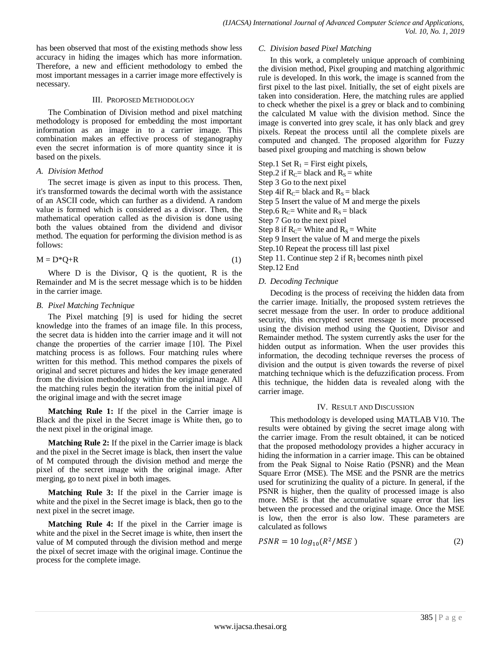has been observed that most of the existing methods show less accuracy in hiding the images which has more information. Therefore, a new and efficient methodology to embed the most important messages in a carrier image more effectively is necessary.

#### III. PROPOSED METHODOLOGY

The Combination of Division method and pixel matching methodology is proposed for embedding the most important information as an image in to a carrier image. This combination makes an effective process of steganography even the secret information is of more quantity since it is based on the pixels.

## *A. Division Method*

The secret image is given as input to this process. Then, it's transformed towards the decimal worth with the assistance of an ASCII code, which can further as a dividend. A random value is formed which is considered as a divisor. Then, the mathematical operation called as the division is done using both the values obtained from the dividend and divisor method. The equation for performing the division method is as follows:

$$
M = D^*Q + R \tag{1}
$$

Where D is the Divisor, Q is the quotient, R is the Remainder and M is the secret message which is to be hidden in the carrier image.

## *B. Pixel Matching Technique*

The Pixel matching [9] is used for hiding the secret knowledge into the frames of an image file. In this process, the secret data is hidden into the carrier image and it will not change the properties of the carrier image [10]. The Pixel matching process is as follows. Four matching rules where written for this method. This method compares the pixels of original and secret pictures and hides the key image generated from the division methodology within the original image. All the matching rules begin the iteration from the initial pixel of the original image and with the secret image

**Matching Rule 1:** If the pixel in the Carrier image is Black and the pixel in the Secret image is White then, go to the next pixel in the original image.

**Matching Rule 2:** If the pixel in the Carrier image is black and the pixel in the Secret image is black, then insert the value of M computed through the division method and merge the pixel of the secret image with the original image. After merging, go to next pixel in both images.

**Matching Rule 3:** If the pixel in the Carrier image is white and the pixel in the Secret image is black, then go to the next pixel in the secret image.

**Matching Rule 4:** If the pixel in the Carrier image is white and the pixel in the Secret image is white, then insert the value of M computed through the division method and merge the pixel of secret image with the original image. Continue the process for the complete image.

#### *C. Division based Pixel Matching*

In this work, a completely unique approach of combining the division method, Pixel grouping and matching algorithmic rule is developed. In this work, the image is scanned from the first pixel to the last pixel. Initially, the set of eight pixels are taken into consideration. Here, the matching rules are applied to check whether the pixel is a grey or black and to combining the calculated M value with the division method. Since the image is converted into grey scale, it has only black and grey pixels. Repeat the process until all the complete pixels are computed and changed. The proposed algorithm for Fuzzy based pixel grouping and matching is shown below

Step.1 Set  $R_1$  = First eight pixels, Step.2 if  $R_C$ = black and  $R_S$  = white Step 3 Go to the next pixel Step 4if  $R_C$ = black and  $R_S$  = black Step 5 Insert the value of M and merge the pixels Step.6  $R_C$ = White and  $R_S$  = black Step 7 Go to the next pixel Step 8 if  $R_C$ = White and  $R_S$  = White Step 9 Insert the value of M and merge the pixels Step.10 Repeat the process till last pixel Step 11. Continue step 2 if  $R_1$  becomes ninth pixel Step.12 End

## *D. Decoding Technique*

Decoding is the process of receiving the hidden data from the carrier image. Initially, the proposed system retrieves the secret message from the user. In order to produce additional security, this encrypted secret message is more processed using the division method using the Quotient, Divisor and Remainder method. The system currently asks the user for the hidden output as information. When the user provides this information, the decoding technique reverses the process of division and the output is given towards the reverse of pixel matching technique which is the defuzzification process. From this technique, the hidden data is revealed along with the carrier image.

## IV. RESULT AND DISCUSSION

This methodology is developed using MATLAB V10. The results were obtained by giving the secret image along with the carrier image. From the result obtained, it can be noticed that the proposed methodology provides a higher accuracy in hiding the information in a carrier image. This can be obtained from the Peak Signal to Noise Ratio (PSNR) and the Mean Square Error (MSE). The MSE and the PSNR are the metrics used for scrutinizing the quality of a picture. In general, if the PSNR is higher, then the quality of processed image is also more. MSE is that the accumulative square error that lies between the processed and the original image. Once the MSE is low, then the error is also low. These parameters are calculated as follows

$$
PSNR = 10 \log_{10}(R^2 / MSE) \tag{2}
$$